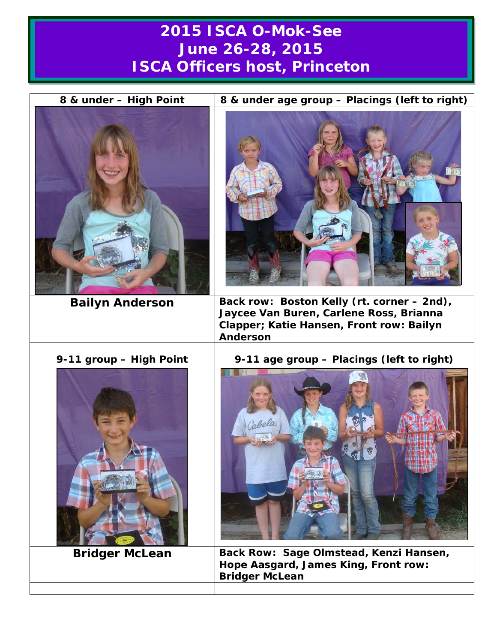## **2015 ISCA O-Mok-See June 26-28, 2015 ISCA Officers host, Princeton**

| 8 & under - High Point  | 8 & under age group - Placings (left to right)                                                                                                |
|-------------------------|-----------------------------------------------------------------------------------------------------------------------------------------------|
|                         |                                                                                                                                               |
| <b>Bailyn Anderson</b>  | Back row: Boston Kelly (rt. corner - 2nd),<br>Jaycee Van Buren, Carlene Ross, Brianna<br>Clapper; Katie Hansen, Front row: Bailyn<br>Anderson |
| 9-11 group - High Point | 9-11 age group - Placings (left to right)                                                                                                     |
|                         | Bolo                                                                                                                                          |
| <b>Bridger McLean</b>   | Back Row: Sage Olmstead, Kenzi Hansen,                                                                                                        |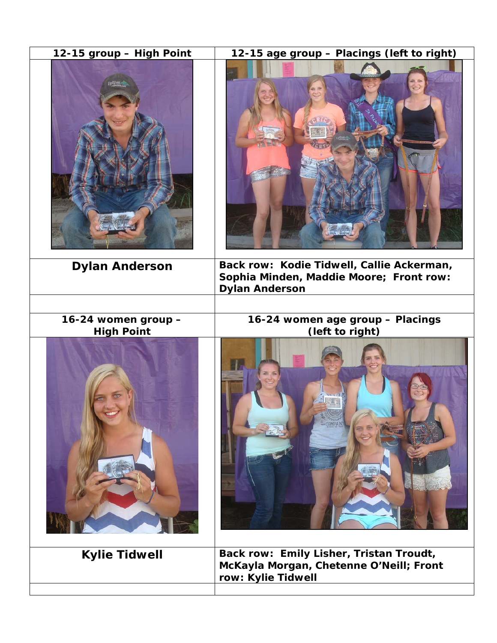| 12-15 group - High Point                 | 12-15 age group - Placings (left to right)                                                                    |
|------------------------------------------|---------------------------------------------------------------------------------------------------------------|
|                                          |                                                                                                               |
| <b>Dylan Anderson</b>                    | Back row: Kodie Tidwell, Callie Ackerman,<br>Sophia Minden, Maddie Moore; Front row:<br><b>Dylan Anderson</b> |
|                                          |                                                                                                               |
| 16-24 women group -<br><b>High Point</b> | 16-24 women age group - Placings<br>(left to right)                                                           |
|                                          |                                                                                                               |
| <b>Kylie Tidwell</b>                     | Back row: Emily Lisher, Tristan Troudt,<br>McKayla Morgan, Chetenne O'Neill; Front<br>row: Kylie Tidwell      |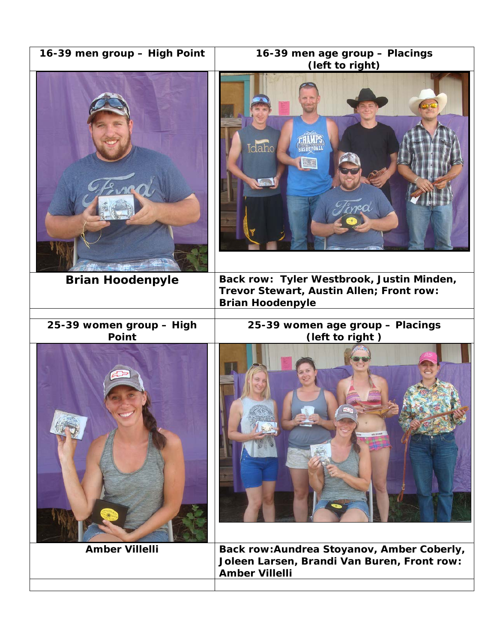| 16-39 men group - High Point      | 16-39 men age group - Placings<br>(left to right)                                                                |
|-----------------------------------|------------------------------------------------------------------------------------------------------------------|
|                                   | Idaho<br>FRE                                                                                                     |
| <b>Brian Hoodenpyle</b>           | Back row: Tyler Westbrook, Justin Minden,<br>Trevor Stewart, Austin Allen; Front row:<br><b>Brian Hoodenpyle</b> |
|                                   |                                                                                                                  |
| 25-39 women group - High<br>Point | 25-39 women age group - Placings<br>(left to right)                                                              |
|                                   | <b>STARTED</b>                                                                                                   |